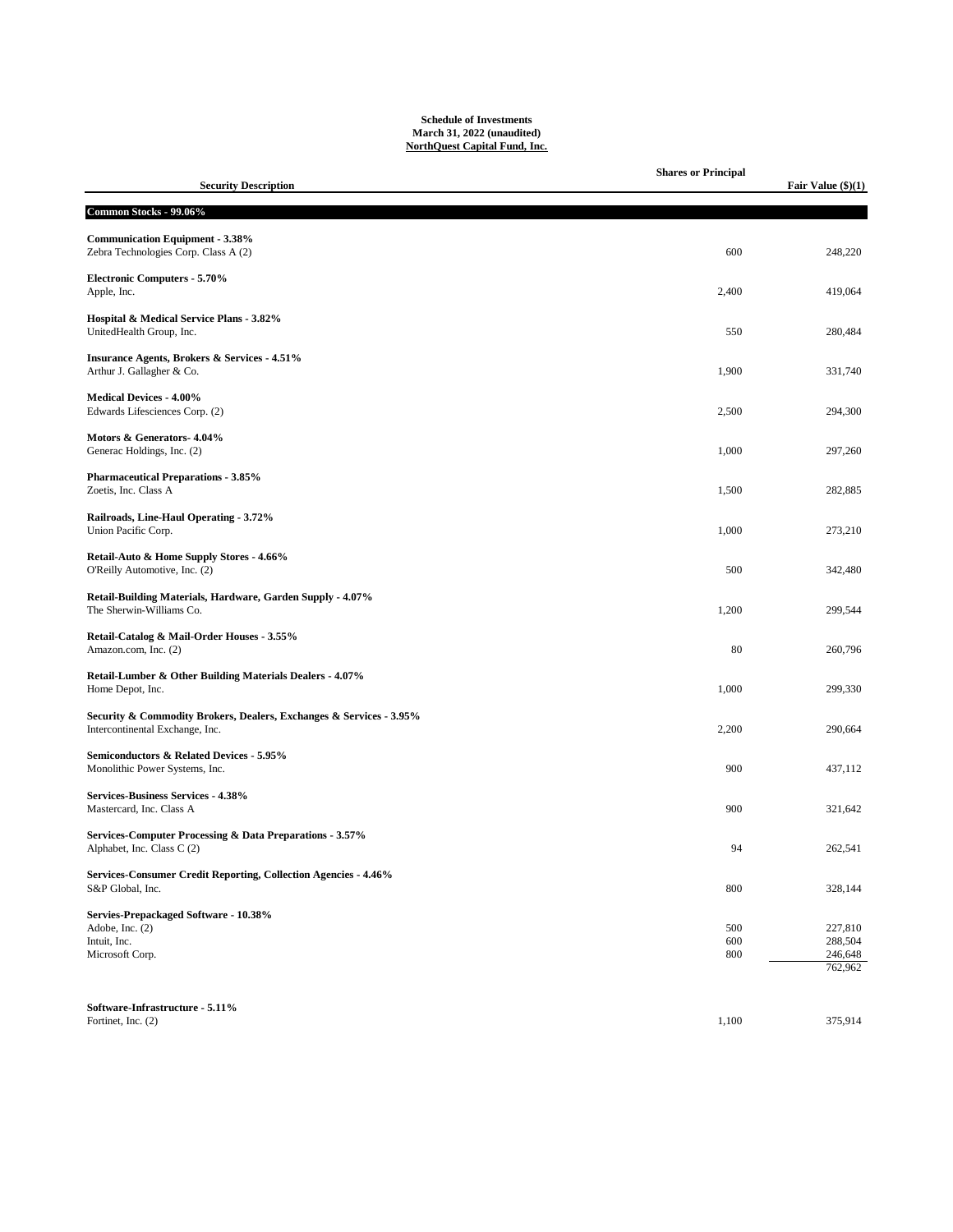## **Schedule of Investments March 31, 2022 (unaudited) NorthQuest Capital Fund, Inc.**

| <b>Security Description</b>                                                                            | <b>Shares or Principal</b> | Fair Value $(\$)(1)$ |
|--------------------------------------------------------------------------------------------------------|----------------------------|----------------------|
|                                                                                                        |                            |                      |
| Common Stocks - 99.06%                                                                                 |                            |                      |
| <b>Communication Equipment - 3.38%</b><br>Zebra Technologies Corp. Class A (2)                         | 600                        | 248,220              |
| <b>Electronic Computers - 5.70%</b><br>Apple, Inc.                                                     | 2,400                      | 419,064              |
| Hospital & Medical Service Plans - 3.82%<br>UnitedHealth Group, Inc.                                   | 550                        | 280,484              |
| <b>Insurance Agents, Brokers &amp; Services - 4.51%</b><br>Arthur J. Gallagher & Co.                   | 1,900                      | 331,740              |
| <b>Medical Devices - 4.00%</b><br>Edwards Lifesciences Corp. (2)                                       | 2,500                      | 294,300              |
| Motors & Generators- 4.04%<br>Generac Holdings, Inc. (2)                                               | 1,000                      | 297,260              |
| <b>Pharmaceutical Preparations - 3.85%</b><br>Zoetis, Inc. Class A                                     | 1,500                      | 282,885              |
| Railroads, Line-Haul Operating - 3.72%<br>Union Pacific Corp.                                          | 1,000                      | 273,210              |
| Retail-Auto & Home Supply Stores - 4.66%<br>O'Reilly Automotive, Inc. (2)                              | 500                        | 342,480              |
| Retail-Building Materials, Hardware, Garden Supply - 4.07%<br>The Sherwin-Williams Co.                 | 1,200                      | 299,544              |
| Retail-Catalog & Mail-Order Houses - 3.55%<br>Amazon.com, Inc. (2)                                     | 80                         | 260,796              |
| Retail-Lumber & Other Building Materials Dealers - 4.07%<br>Home Depot, Inc.                           | 1,000                      | 299,330              |
| Security & Commodity Brokers, Dealers, Exchanges & Services - 3.95%<br>Intercontinental Exchange, Inc. | 2,200                      | 290,664              |
| Semiconductors & Related Devices - 5.95%<br>Monolithic Power Systems, Inc.                             | 900                        | 437,112              |
| Services-Business Services - 4.38%<br>Mastercard, Inc. Class A                                         | 900                        | 321,642              |
| Services-Computer Processing & Data Preparations - 3.57%<br>Alphabet, Inc. Class C (2)                 | 94                         | 262,541              |
| Services-Consumer Credit Reporting, Collection Agencies - 4.46%<br>S&P Global, Inc.                    | 800                        | 328,144              |
| Servies-Prepackaged Software - 10.38%                                                                  |                            |                      |
| Adobe, Inc. (2)                                                                                        | 500                        | 227,810              |
| Intuit, Inc.<br>Microsoft Corp.                                                                        | 600<br>800                 | 288,504<br>246,648   |
|                                                                                                        |                            | 762,962              |
|                                                                                                        |                            |                      |
| Software-Infrastructure - 5.11%                                                                        |                            |                      |
| Fortinet, Inc. (2)                                                                                     | 1,100                      | 375,914              |